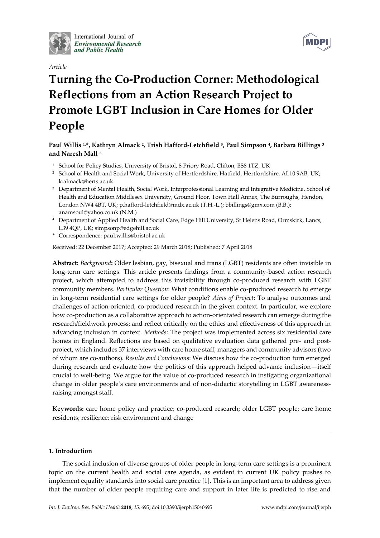

International Journal of **Environmental Research** and Public Health





# **Turning the Co-Production Corner: Methodological Reflections from an Action Research Project to Promote LGBT Inclusion in Care Homes for Older People**

# **Paul Willis 1,\*, Kathryn Almack <sup>2</sup> , Trish Hafford-Letchfield <sup>3</sup> , Paul Simpson <sup>4</sup> , Barbara Billings <sup>3</sup> and Naresh Mall <sup>3</sup>**

- <sup>1</sup> School for Policy Studies, University of Bristol, 8 Priory Road, Clifton, BS8 1TZ, UK
- <sup>2</sup> School of Health and Social Work, University of Hertfordshire, Hatfield, Hertfordshire, AL10 9AB, UK; k.almack@herts.ac.uk
- <sup>3</sup> Department of Mental Health, Social Work, Interprofessional Learning and Integrative Medicine, School of Health and Education Middlesex University, Ground Floor, Town Hall Annex, The Burroughs, Hendon, London NW4 4BT, UK; p.hafford-letchfield@mdx.ac.uk (T.H.-L.); bbillings@gmx.com (B.B.); anamsoul@yahoo.co.uk (N.M.)
- <sup>4</sup> Department of Applied Health and Social Care, Edge Hill University, St Helens Road, Ormskirk, Lancs, L39 4QP, UK; simpsonp@edgehill.ac.uk
- \* Correspondence: paul.willis@bristol.ac.uk

Received: 22 December 2017; Accepted: 29 March 2018; Published: 7 April 2018

**Abstract:** *Background***:** Older lesbian, gay, bisexual and trans (LGBT) residents are often invisible in long-term care settings. This article presents findings from a community-based action research project, which attempted to address this invisibility through co-produced research with LGBT community members. *Particular Question*: What conditions enable co-produced research to emerge in long-term residential care settings for older people? *Aims of Project*: To analyse outcomes and challenges of action-oriented, co-produced research in the given context. In particular, we explore how co-production as a collaborative approach to action-orientated research can emerge during the research/fieldwork process; and reflect critically on the ethics and effectiveness of this approach in advancing inclusion in context. *Methods*: The project was implemented across six residential care homes in England. Reflections are based on qualitative evaluation data gathered pre- and postproject, which includes 37 interviews with care home staff, managers and community advisors (two of whom are co-authors)*. Results and Conclusions*: We discuss how the co-production turn emerged during research and evaluate how the politics of this approach helped advance inclusion—itself crucial to well-being. We argue for the value of co-produced research in instigating organizational change in older people's care environments and of non-didactic storytelling in LGBT awarenessraising amongst staff.

**Keywords:** care home policy and practice; co-produced research; older LGBT people; care home residents; resilience; risk environment and change

# **1. Introduction**

The social inclusion of diverse groups of older people in long-term care settings is a prominent topic on the current health and social care agenda, as evident in current UK policy pushes to implement equality standards into social care practice [1]. This is an important area to address given that the number of older people requiring care and support in later life is predicted to rise and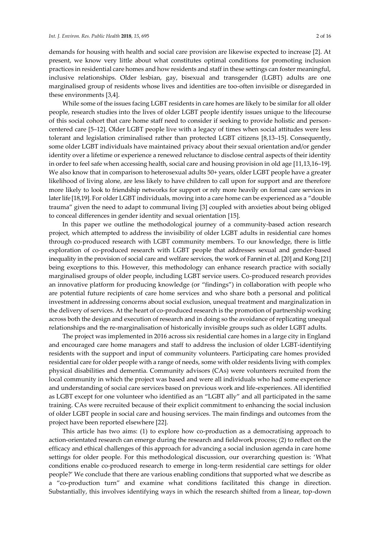demands for housing with health and social care provision are likewise expected to increase [2]. At present, we know very little about what constitutes optimal conditions for promoting inclusion practices in residential care homes and how residents and staff in these settings can foster meaningful, inclusive relationships. Older lesbian, gay, bisexual and transgender (LGBT) adults are one marginalised group of residents whose lives and identities are too-often invisible or disregarded in these environments [3,4].

While some of the issues facing LGBT residents in care homes are likely to be similar for all older people, research studies into the lives of older LGBT people identify issues unique to the lifecourse of this social cohort that care home staff need to consider if seeking to provide holistic and personcentered care [5–12]. Older LGBT people live with a legacy of times when social attitudes were less tolerant and legislation criminalised rather than protected LGBT citizens [8,13–15]. Consequently, some older LGBT individuals have maintained privacy about their sexual orientation and/or gender identity over a lifetime or experience a renewed reluctance to disclose central aspects of their identity in order to feel safe when accessing health, social care and housing provision in old age [11,13,16–19]. We also know that in comparison to heterosexual adults 50+ years, older LGBT people have a greater likelihood of living alone, are less likely to have children to call upon for support and are therefore more likely to look to friendship networks for support or rely more heavily on formal care services in later life [18,19]. For older LGBT individuals, moving into a care home can be experienced as a "double trauma" given the need to adapt to communal living [3] coupled with anxieties about being obliged to conceal differences in gender identity and sexual orientation [15].

In this paper we outline the methodological journey of a community-based action research project, which attempted to address the invisibility of older LGBT adults in residential care homes through co-produced research with LGBT community members. To our knowledge, there is little exploration of co-produced research with LGBT people that addresses sexual and gender-based inequality in the provision of social care and welfare services, the work of Fannin et al. [20] and Kong [21] being exceptions to this. However, this methodology can enhance research practice with socially marginalised groups of older people, including LGBT service users. Co-produced research provides an innovative platform for producing knowledge (or "findings") in collaboration with people who are potential future recipients of care home services and who share both a personal and political investment in addressing concerns about social exclusion, unequal treatment and marginalization in the delivery of services. At the heart of co-produced research is the promotion of partnership working across both the design and execution of research and in doing so the avoidance of replicating unequal relationships and the re-marginalisation of historically invisible groups such as older LGBT adults.

The project was implemented in 2016 across six residential care homes in a large city in England and encouraged care home managers and staff to address the inclusion of older LGBT-identifying residents with the support and input of community volunteers. Participating care homes provided residential care for older people with a range of needs, some with older residents living with complex physical disabilities and dementia. Community advisors (CAs) were volunteers recruited from the local community in which the project was based and were all individuals who had some experience and understanding of social care services based on previous work and life-experiences. All identified as LGBT except for one volunteer who identified as an "LGBT ally" and all participated in the same training. CAs were recruited because of their explicit commitment to enhancing the social inclusion of older LGBT people in social care and housing services. The main findings and outcomes from the project have been reported elsewhere [22].

This article has two aims: (1) to explore how co-production as a democratising approach to action-orientated research can emerge during the research and fieldwork process; (2) to reflect on the efficacy and ethical challenges of this approach for advancing a social inclusion agenda in care home settings for older people. For this methodological discussion, our overarching question is: 'What conditions enable co-produced research to emerge in long-term residential care settings for older people?' We conclude that there are various enabling conditions that supported what we describe as a "co-production turn" and examine what conditions facilitated this change in direction. Substantially, this involves identifying ways in which the research shifted from a linear, top-down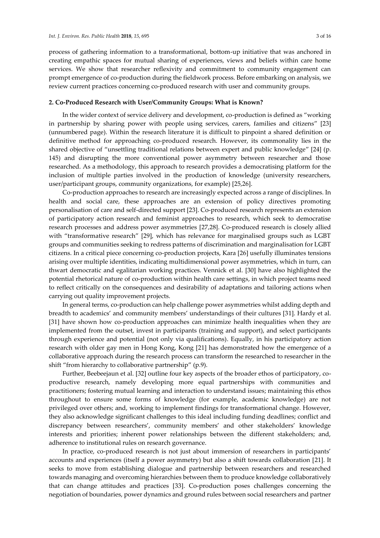process of gathering information to a transformational, bottom-up initiative that was anchored in creating empathic spaces for mutual sharing of experiences, views and beliefs within care home services. We show that researcher reflexivity and commitment to community engagement can prompt emergence of co-production during the fieldwork process. Before embarking on analysis, we review current practices concerning co-produced research with user and community groups.

# **2. Co-Produced Research with User/Community Groups: What is Known?**

In the wider context of service delivery and development, co-production is defined as "working in partnership by sharing power with people using services, carers, families and citizens" [23] (unnumbered page). Within the research literature it is difficult to pinpoint a shared definition or definitive method for approaching co-produced research. However, its commonality lies in the shared objective of "unsettling traditional relations between expert and public knowledge" [24] (p. 145) and disrupting the more conventional power asymmetry between researcher and those researched. As a methodology, this approach to research provides a democratising platform for the inclusion of multiple parties involved in the production of knowledge (university researchers, user/participant groups, community organizations, for example) [25,26].

Co-production approaches to research are increasingly expected across a range of disciplines. In health and social care, these approaches are an extension of policy directives promoting personalisation of care and self-directed support [23]. Co-produced research represents an extension of participatory action research and feminist approaches to research, which seek to democratise research processes and address power asymmetries [27,28]. Co-produced research is closely allied with "transformative research" [29], which has relevance for marginalised groups such as LGBT groups and communities seeking to redress patterns of discrimination and marginalisation for LGBT citizens. In a critical piece concerning co-production projects, Kara [26] usefully illuminates tensions arising over multiple identities, indicating multidimensional power asymmetries, which in turn, can thwart democratic and egalitarian working practices. Vennick et al. [30] have also highlighted the potential rhetorical nature of co-production within health care settings, in which project teams need to reflect critically on the consequences and desirability of adaptations and tailoring actions when carrying out quality improvement projects.

In general terms, co-production can help challenge power asymmetries whilst adding depth and breadth to academics' and community members' understandings of their cultures [31]. Hardy et al. [31] have shown how co-production approaches can minimize health inequalities when they are implemented from the outset, invest in participants (training and support), and select participants through experience and potential (not only via qualifications). Equally, in his participatory action research with older gay men in Hong Kong, Kong [21] has demonstrated how the emergence of a collaborative approach during the research process can transform the researched to researcher in the shift "from hierarchy to collaborative partnership" (p.9).

Further, Beebeejaun et al. [32] outline four key aspects of the broader ethos of participatory, coproductive research, namely developing more equal partnerships with communities and practitioners; fostering mutual learning and interaction to understand issues; maintaining this ethos throughout to ensure some forms of knowledge (for example, academic knowledge) are not privileged over others; and, working to implement findings for transformational change. However, they also acknowledge significant challenges to this ideal including funding deadlines; conflict and discrepancy between researchers', community members' and other stakeholders' knowledge interests and priorities; inherent power relationships between the different stakeholders; and, adherence to institutional rules on research governance.

In practice, co-produced research is not just about immersion of researchers in participants' accounts and experiences (itself a power asymmetry) but also a shift towards collaboration [21]. It seeks to move from establishing dialogue and partnership between researchers and researched towards managing and overcoming hierarchies between them to produce knowledge collaboratively that can change attitudes and practices [33]. Co-production poses challenges concerning the negotiation of boundaries, power dynamics and ground rules between social researchers and partner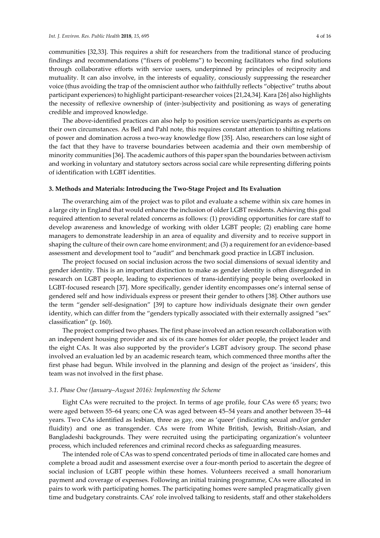communities [32,33]. This requires a shift for researchers from the traditional stance of producing findings and recommendations ("fixers of problems") to becoming facilitators who find solutions through collaborative efforts with service users, underpinned by principles of reciprocity and mutuality. It can also involve, in the interests of equality, consciously suppressing the researcher voice (thus avoiding the trap of the omniscient author who faithfully reflects "objective" truths about participant experiences) to highlight participant-researcher voices [21,24,34]. Kara [26] also highlights the necessity of reflexive ownership of (inter-)subjectivity and positioning as ways of generating credible and improved knowledge.

The above-identified practices can also help to position service users/participants as experts on their own circumstances. As Bell and Pahl note, this requires constant attention to shifting relations of power and domination across a two-way knowledge flow [35]. Also, researchers can lose sight of the fact that they have to traverse boundaries between academia and their own membership of minority communities [36]. The academic authors of this paper span the boundaries between activism and working in voluntary and statutory sectors across social care while representing differing points of identification with LGBT identities.

#### **3. Methods and Materials: Introducing the Two-Stage Project and Its Evaluation**

The overarching aim of the project was to pilot and evaluate a scheme within six care homes in a large city in England that would enhance the inclusion of older LGBT residents. Achieving this goal required attention to several related concerns as follows: (1) providing opportunities for care staff to develop awareness and knowledge of working with older LGBT people; (2) enabling care home managers to demonstrate leadership in an area of equality and diversity and to receive support in shaping the culture of their own care home environment; and (3) a requirement for an evidence-based assessment and development tool to "audit" and benchmark good practice in LGBT inclusion.

The project focused on social inclusion across the two social dimensions of sexual identity and gender identity. This is an important distinction to make as gender identity is often disregarded in research on LGBT people, leading to experiences of trans-identifying people being overlooked in LGBT-focused research [37]. More specifically, gender identity encompasses one's internal sense of gendered self and how individuals express or present their gender to others [38]. Other authors use the term "gender self-designation" [39] to capture how individuals designate their own gender identity, which can differ from the "genders typically associated with their externally assigned "sex" classification" (p. 160).

The project comprised two phases. The first phase involved an action research collaboration with an independent housing provider and six of its care homes for older people, the project leader and the eight CAs. It was also supported by the provider's LGBT advisory group. The second phase involved an evaluation led by an academic research team, which commenced three months after the first phase had begun. While involved in the planning and design of the project as 'insiders', this team was not involved in the first phase.

#### *3.1. Phase One (January–August 2016): Implementing the Scheme*

Eight CAs were recruited to the project. In terms of age profile, four CAs were 65 years; two were aged between 55–64 years; one CA was aged between 45–54 years and another between 35–44 years. Two CAs identified as lesbian, three as gay, one as 'queer' (indicating sexual and/or gender fluidity) and one as transgender. CAs were from White British, Jewish, British-Asian, and Bangladeshi backgrounds. They were recruited using the participating organization's volunteer process, which included references and criminal record checks as safeguarding measures.

The intended role of CAs was to spend concentrated periods of time in allocated care homes and complete a broad audit and assessment exercise over a four-month period to ascertain the degree of social inclusion of LGBT people within these homes. Volunteers received a small honorarium payment and coverage of expenses. Following an initial training programme, CAs were allocated in pairs to work with participating homes. The participating homes were sampled pragmatically given time and budgetary constraints. CAs' role involved talking to residents, staff and other stakeholders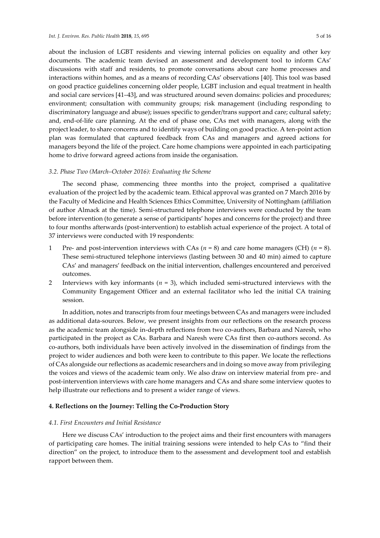about the inclusion of LGBT residents and viewing internal policies on equality and other key documents. The academic team devised an assessment and development tool to inform CAs' discussions with staff and residents, to promote conversations about care home processes and interactions within homes, and as a means of recording CAs' observations [40]. This tool was based on good practice guidelines concerning older people, LGBT inclusion and equal treatment in health and social care services [41–43], and was structured around seven domains: policies and procedures; environment; consultation with community groups; risk management (including responding to discriminatory language and abuse); issues specific to gender/trans support and care; cultural safety; and, end-of-life care planning. At the end of phase one, CAs met with managers, along with the project leader, to share concerns and to identify ways of building on good practice. A ten-point action plan was formulated that captured feedback from CAs and managers and agreed actions for managers beyond the life of the project. Care home champions were appointed in each participating home to drive forward agreed actions from inside the organisation.

#### *3.2. Phase Two (March–October 2016): Evaluating the Scheme*

The second phase, commencing three months into the project, comprised a qualitative evaluation of the project led by the academic team. Ethical approval was granted on 7 March 2016 by the Faculty of Medicine and Health Sciences Ethics Committee, University of Nottingham (affiliation of author Almack at the time). Semi-structured telephone interviews were conducted by the team before intervention (to generate a sense of participants' hopes and concerns for the project) and three to four months afterwards (post-intervention) to establish actual experience of the project. A total of 37 interviews were conducted with 19 respondents:

- 1 Pre- and post-intervention interviews with CAs ( $n = 8$ ) and care home managers (CH) ( $n = 8$ ). These semi-structured telephone interviews (lasting between 30 and 40 min) aimed to capture CAs' and managers' feedback on the initial intervention, challenges encountered and perceived outcomes.
- 2 Interviews with key informants (*n* = 3), which included semi-structured interviews with the Community Engagement Officer and an external facilitator who led the initial CA training session.

In addition, notes and transcripts from four meetings between CAs and managers were included as additional data-sources. Below, we present insights from our reflections on the research process as the academic team alongside in-depth reflections from two co-authors, Barbara and Naresh, who participated in the project as CAs. Barbara and Naresh were CAs first then co-authors second. As co-authors, both individuals have been actively involved in the dissemination of findings from the project to wider audiences and both were keen to contribute to this paper. We locate the reflections of CAs alongside our reflections as academic researchers and in doing so move away from privileging the voices and views of the academic team only. We also draw on interview material from pre- and post-intervention interviews with care home managers and CAs and share some interview quotes to help illustrate our reflections and to present a wider range of views.

## **4. Reflections on the Journey: Telling the Co-Production Story**

## *4.1. First Encounters and Initial Resistance*

Here we discuss CAs' introduction to the project aims and their first encounters with managers of participating care homes. The initial training sessions were intended to help CAs to "find their direction" on the project, to introduce them to the assessment and development tool and establish rapport between them.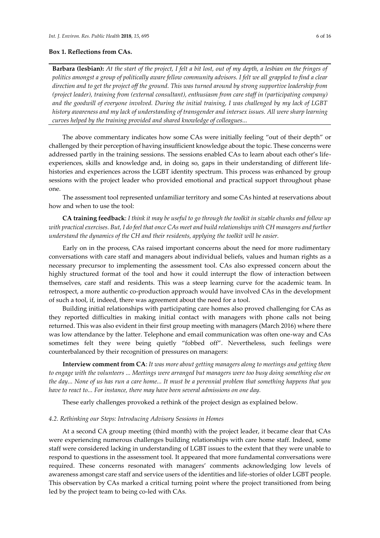## **Box 1. Reflections from CAs.**

**Barbara (lesbian):** *At the start of the project, I felt a bit lost, out of my depth, a lesbian on the fringes of politics amongst a group of politically aware fellow community advisors. I felt we all grappled to find a clear direction and to get the project off the ground. This was turned around by strong supportive leadership from (project leader), training from (external consultant), enthusiasm from care staff in (participating company) and the goodwill of everyone involved. During the initial training, I was challenged by my lack of LGBT history awareness and my lack of understanding of transgender and intersex issues. All were sharp learning curves helped by the training provided and shared knowledge of colleagues...*

The above commentary indicates how some CAs were initially feeling "out of their depth" or challenged by their perception of having insufficient knowledge about the topic. These concerns were addressed partly in the training sessions. The sessions enabled CAs to learn about each other's lifeexperiences, skills and knowledge and, in doing so, gaps in their understanding of different lifehistories and experiences across the LGBT identity spectrum. This process was enhanced by group sessions with the project leader who provided emotional and practical support throughout phase one.

The assessment tool represented unfamiliar territory and some CAs hinted at reservations about how and when to use the tool:

**CA training feedback**: *I think it may be useful to go through the toolkit in sizable chunks and follow up with practical exercises. But, I do feel that once CAs meet and build relationships with CH managers and further understand the dynamics of the CH and their residents, applying the toolkit will be easier.*

Early on in the process, CAs raised important concerns about the need for more rudimentary conversations with care staff and managers about individual beliefs, values and human rights as a necessary precursor to implementing the assessment tool. CAs also expressed concern about the highly structured format of the tool and how it could interrupt the flow of interaction between themselves, care staff and residents. This was a steep learning curve for the academic team. In retrospect, a more authentic co-production approach would have involved CAs in the development of such a tool, if, indeed, there was agreement about the need for a tool.

Building initial relationships with participating care homes also proved challenging for CAs as they reported difficulties in making initial contact with managers with phone calls not being returned. This was also evident in their first group meeting with managers (March 2016) where there was low attendance by the latter. Telephone and email communication was often one-way and CAs sometimes felt they were being quietly "fobbed off". Nevertheless, such feelings were counterbalanced by their recognition of pressures on managers:

**Interview comment from CA**: *It was more about getting managers along to meetings and getting them to engage with the volunteers ... Meetings were arranged but managers were too busy doing something else on the day... None of us has run a care home... It must be a perennial problem that something happens that you have to react to... For instance, there may have been several admissions on one day.*

These early challenges provoked a rethink of the project design as explained below.

#### *4.2. Rethinking our Steps: Introducing Advisory Sessions in Homes*

At a second CA group meeting (third month) with the project leader, it became clear that CAs were experiencing numerous challenges building relationships with care home staff. Indeed, some staff were considered lacking in understanding of LGBT issues to the extent that they were unable to respond to questions in the assessment tool. It appeared that more fundamental conversations were required. These concerns resonated with managers' comments acknowledging low levels of awareness amongst care staff and service users of the identities and life-stories of older LGBT people. This observation by CAs marked a critical turning point where the project transitioned from being led by the project team to being co-led with CAs.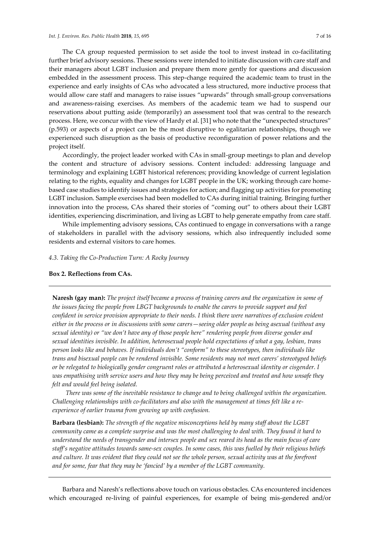The CA group requested permission to set aside the tool to invest instead in co-facilitating further brief advisory sessions. These sessions were intended to initiate discussion with care staff and their managers about LGBT inclusion and prepare them more gently for questions and discussion embedded in the assessment process. This step-change required the academic team to trust in the experience and early insights of CAs who advocated a less structured, more inductive process that would allow care staff and managers to raise issues "upwards" through small-group conversations and awareness-raising exercises. As members of the academic team we had to suspend our reservations about putting aside (temporarily) an assessment tool that was central to the research process. Here, we concur with the view of Hardy et al. [31] who note that the "unexpected structures" (p.593) or aspects of a project can be the most disruptive to egalitarian relationships, though we experienced such disruption as the basis of productive reconfiguration of power relations and the project itself.

Accordingly, the project leader worked with CAs in small-group meetings to plan and develop the content and structure of advisory sessions. Content included: addressing language and terminology and explaining LGBT historical references; providing knowledge of current legislation relating to the rights, equality and changes for LGBT people in the UK; working through care homebased case studies to identify issues and strategies for action; and flagging up activities for promoting LGBT inclusion. Sample exercises had been modelled to CAs during initial training. Bringing further innovation into the process, CAs shared their stories of "coming out" to others about their LGBT identities, experiencing discrimination, and living as LGBT to help generate empathy from care staff.

While implementing advisory sessions, CAs continued to engage in conversations with a range of stakeholders in parallel with the advisory sessions, which also infrequently included some residents and external visitors to care homes.

## *4.3. Taking the Co-Production Turn: A Rocky Journey*

## **Box 2. Reflections from CAs.**

**Naresh (gay man):** *The project itself became a process of training carers and the organization in some of the issues facing the people from LBGT backgrounds to enable the carers to provide support and feel confident in service provision appropriate to their needs. I think there were narratives of exclusion evident either in the process or in discussions with some carers—seeing older people as being asexual (without any sexual identity) or "we don't have any of those people here" rendering people from diverse gender and sexual identities invisible. In addition, heterosexual people hold expectations of what a gay, lesbian, trans person looks like and behaves. If individuals don't "conform" to these stereotypes, then individuals like trans and bisexual people can be rendered invisible. Some residents may not meet carers' stereotyped beliefs or be relegated to biologically gender congruent roles or attributed a heterosexual identity or cisgender. I was empathising with service users and how they may be being perceived and treated and how unsafe they felt and would feel being isolated.*

*There was some of the inevitable resistance to change and to being challenged within the organization. Challenging relationships with co-facilitators and also with the management at times felt like a reexperience of earlier trauma from growing up with confusion.* 

**Barbara (lesbian):** *The strength of the negative misconceptions held by many staff about the LGBT community came as a complete surprise and was the most challenging to deal with. They found it hard to understand the needs of transgender and intersex people and sex reared its head as the main focus of care staff's negative attitudes towards same-sex couples. In some cases, this was fuelled by their religious beliefs and culture. It was evident that they could not see the whole person, sexual activity was at the forefront and for some, fear that they may be 'fancied' by a member of the LGBT community.*

Barbara and Naresh's reflections above touch on various obstacles. CAs encountered incidences which encouraged re-living of painful experiences, for example of being mis-gendered and/or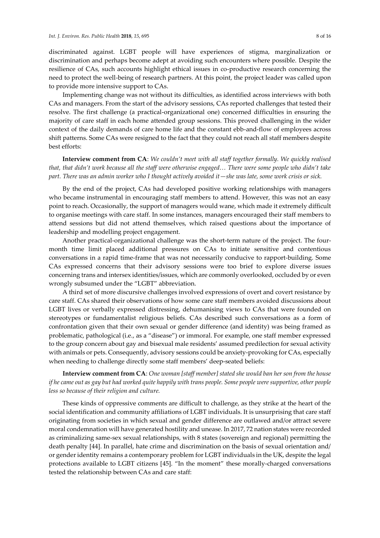discriminated against. LGBT people will have experiences of stigma, marginalization or discrimination and perhaps become adept at avoiding such encounters where possible. Despite the resilience of CAs, such accounts highlight ethical issues in co-productive research concerning the need to protect the well-being of research partners. At this point, the project leader was called upon to provide more intensive support to CAs.

Implementing change was not without its difficulties, as identified across interviews with both CAs and managers. From the start of the advisory sessions, CAs reported challenges that tested their resolve. The first challenge (a practical-organizational one) concerned difficulties in ensuring the majority of care staff in each home attended group sessions. This proved challenging in the wider context of the daily demands of care home life and the constant ebb-and-flow of employees across shift patterns. Some CAs were resigned to the fact that they could not reach all staff members despite best efforts:

**Interview comment from CA**: *We couldn't meet with all staff together formally. We quickly realised that, that didn't work because all the staff were otherwise engaged… There were some people who didn't take part. There was an admin worker who I thought actively avoided it*—*she was late, some work crisis or sick.* 

By the end of the project, CAs had developed positive working relationships with managers who became instrumental in encouraging staff members to attend. However, this was not an easy point to reach. Occasionally, the support of managers would wane, which made it extremely difficult to organise meetings with care staff. In some instances, managers encouraged their staff members to attend sessions but did not attend themselves, which raised questions about the importance of leadership and modelling project engagement.

Another practical-organizational challenge was the short-term nature of the project. The fourmonth time limit placed additional pressures on CAs to initiate sensitive and contentious conversations in a rapid time-frame that was not necessarily conducive to rapport-building. Some CAs expressed concerns that their advisory sessions were too brief to explore diverse issues concerning trans and intersex identities/issues, which are commonly overlooked, occluded by or even wrongly subsumed under the "LGBT" abbreviation.

A third set of more discursive challenges involved expressions of overt and covert resistance by care staff. CAs shared their observations of how some care staff members avoided discussions about LGBT lives or verbally expressed distressing, dehumanising views to CAs that were founded on stereotypes or fundamentalist religious beliefs. CAs described such conversations as a form of confrontation given that their own sexual or gender difference (and identity) was being framed as problematic, pathological (i.e., as a "disease") or immoral. For example, one staff member expressed to the group concern about gay and bisexual male residents' assumed predilection for sexual activity with animals or pets. Consequently, advisory sessions could be anxiety-provoking for CAs, especially when needing to challenge directly some staff members' deep-seated beliefs:

**Interview comment from CA**: *One woman [staff member] stated she would ban her son from the house if he came out as gay but had worked quite happily with trans people. Some people were supportive, other people less so because of their religion and culture.*

These kinds of oppressive comments are difficult to challenge, as they strike at the heart of the social identification and community affiliations of LGBT individuals. It is unsurprising that care staff originating from societies in which sexual and gender difference are outlawed and/or attract severe moral condemnation will have generated hostility and unease. In 2017, 72 nation states were recorded as criminalizing same-sex sexual relationships, with 8 states (sovereign and regional) permitting the death penalty [44]. In parallel, hate crime and discrimination on the basis of sexual orientation and/ or gender identity remains a contemporary problem for LGBT individuals in the UK, despite the legal protections available to LGBT citizens [45]. "In the moment" these morally-charged conversations tested the relationship between CAs and care staff: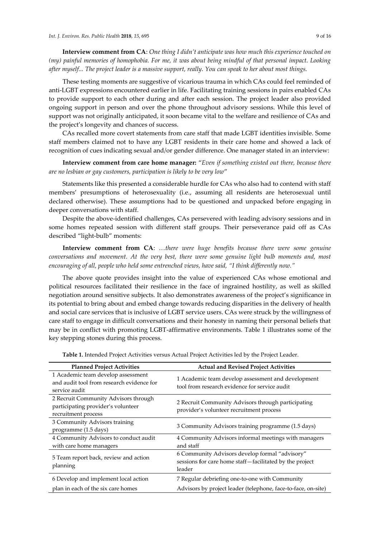**Interview comment from CA**: *One thing I didn't anticipate was how much this experience touched on (my) painful memories of homophobia. For me, it was about being mindful of that personal impact. Looking after myself... The project leader is a massive support, really. You can speak to her about most things.*

These testing moments are suggestive of vicarious trauma in which CAs could feel reminded of anti-LGBT expressions encountered earlier in life. Facilitating training sessions in pairs enabled CAs to provide support to each other during and after each session. The project leader also provided ongoing support in person and over the phone throughout advisory sessions. While this level of support was not originally anticipated, it soon became vital to the welfare and resilience of CAs and the project's longevity and chances of success.

CAs recalled more covert statements from care staff that made LGBT identities invisible. Some staff members claimed not to have any LGBT residents in their care home and showed a lack of recognition of cues indicating sexual and/or gender difference. One manager stated in an interview:

**Interview comment from care home manager:** "*Even if something existed out there, because there are no lesbian or gay customers, participation is likely to be very low*"

Statements like this presented a considerable hurdle for CAs who also had to contend with staff members' presumptions of heterosexuality (i.e., assuming all residents are heterosexual until declared otherwise). These assumptions had to be questioned and unpacked before engaging in deeper conversations with staff.

Despite the above-identified challenges, CAs persevered with leading advisory sessions and in some homes repeated session with different staff groups. Their perseverance paid off as CAs described "light-bulb" moments:

**Interview comment from CA**: *…there were huge benefits because there were some genuine conversations and movement. At the very best, there were some genuine light bulb moments and, most encouraging of all, people who held some entrenched views, have said, "I think differently now."*

The above quote provides insight into the value of experienced CAs whose emotional and political resources facilitated their resilience in the face of ingrained hostility, as well as skilled negotiation around sensitive subjects. It also demonstrates awareness of the project's significance in its potential to bring about and embed change towards reducing disparities in the delivery of health and social care services that is inclusive of LGBT service users. CAs were struck by the willingness of care staff to engage in difficult conversations and their honesty in naming their personal beliefs that may be in conflict with promoting LGBT-affirmative environments. Table 1 illustrates some of the key stepping stones during this process.

| <b>Planned Project Activities</b>                                                                 | <b>Actual and Revised Project Activities</b>                                                                        |
|---------------------------------------------------------------------------------------------------|---------------------------------------------------------------------------------------------------------------------|
| 1 Academic team develop assessment<br>and audit tool from research evidence for<br>service audit  | 1 Academic team develop assessment and development<br>tool from research evidence for service audit                 |
| 2 Recruit Community Advisors through<br>participating provider's volunteer<br>recruitment process | 2 Recruit Community Advisors through participating<br>provider's volunteer recruitment process                      |
| 3 Community Advisors training<br>programme (1.5 days)                                             | 3 Community Advisors training programme (1.5 days)                                                                  |
| 4 Community Advisors to conduct audit<br>with care home managers                                  | 4 Community Advisors informal meetings with managers<br>and staff                                                   |
| 5 Team report back, review and action<br>planning                                                 | 6 Community Advisors develop formal "advisory"<br>sessions for care home staff-facilitated by the project<br>leader |
| 6 Develop and implement local action                                                              | 7 Regular debriefing one-to-one with Community                                                                      |
| plan in each of the six care homes                                                                | Advisors by project leader (telephone, face-to-face, on-site)                                                       |

**Table 1.** Intended Project Activities versus Actual Project Activities led by the Project Leader.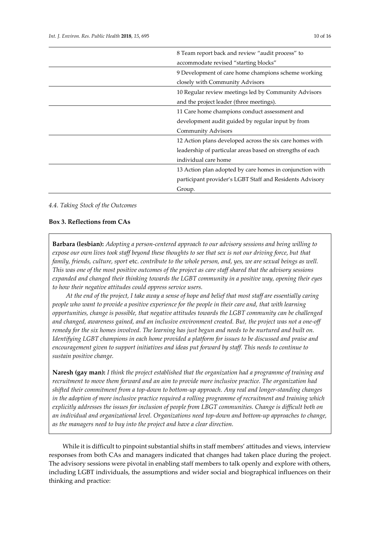| 8 Team report back and review "audit process" to          |
|-----------------------------------------------------------|
| accommodate revised "starting blocks"                     |
| 9 Development of care home champions scheme working       |
| closely with Community Advisors                           |
| 10 Regular review meetings led by Community Advisors      |
| and the project leader (three meetings).                  |
| 11 Care home champions conduct assessment and             |
| development audit guided by regular input by from         |
| <b>Community Advisors</b>                                 |
| 12 Action plans developed across the six care homes with  |
| leadership of particular areas based on strengths of each |
| individual care home                                      |
| 13 Action plan adopted by care homes in conjunction with  |
| participant provider's LGBT Staff and Residents Advisory  |
| Group.                                                    |

# *4.4. Taking Stock of the Outcomes*

# **Box 3. Reflections from CAs**

**Barbara (lesbian):** *Adopting a person-centered approach to our advisory sessions and being willing to expose our own lives took staff beyond these thoughts to see that sex is not our driving force, but that family, friends, culture, sport* etc. *contribute to the whole person, and, yes, we are sexual beings as well. This was one of the most positive outcomes of the project as care staff shared that the advisory sessions expanded and changed their thinking towards the LGBT community in a positive way, opening their eyes to how their negative attitudes could oppress service users.* 

*At the end of the project, I take away a sense of hope and belief that most staff are essentially caring people who want to provide a positive experience for the people in their care and, that with learning opportunities, change is possible, that negative attitudes towards the LGBT community can be challenged and changed, awareness gained, and an inclusive environment created. But, the project was not a one-off remedy for the six homes involved. The learning has just begun and needs to be nurtured and built on. Identifying LGBT champions in each home provided a platform for issues to be discussed and praise and encouragement given to support initiatives and ideas put forward by staff. This needs to continue to sustain positive change.*

**Naresh (gay man):** *I think the project established that the organization had a programme of training and recruitment to move them forward and an aim to provide more inclusive practice. The organization had shifted their commitment from a top-down to bottom-up approach. Any real and longer-standing changes in the adoption of more inclusive practice required a rolling programme of recruitment and training which explicitly addresses the issues for inclusion of people from LBGT communities. Change is difficult both on an individual and organizational level. Organizations need top-down and bottom-up approaches to change, as the managers need to buy into the project and have a clear direction.*

While it is difficult to pinpoint substantial shifts in staff members' attitudes and views, interview responses from both CAs and managers indicated that changes had taken place during the project. The advisory sessions were pivotal in enabling staff members to talk openly and explore with others, including LGBT individuals, the assumptions and wider social and biographical influences on their thinking and practice: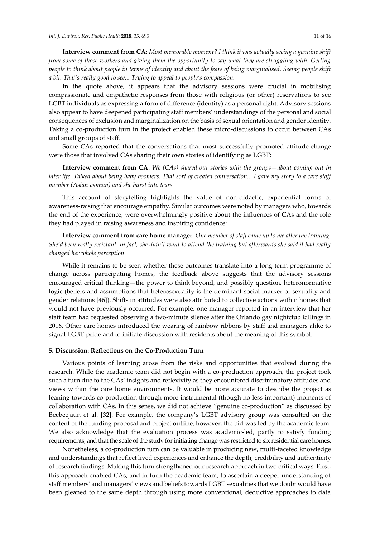**Interview comment from CA**: *Most memorable moment? I think it was actually seeing a genuine shift from some of those workers and giving them the opportunity to say what they are struggling with. Getting people to think about people in terms of identity and about the fears of being marginalised. Seeing people shift a bit. That's really good to see... Trying to appeal to people's compassion.* 

In the quote above, it appears that the advisory sessions were crucial in mobilising compassionate and empathetic responses from those with religious (or other) reservations to see LGBT individuals as expressing a form of difference (identity) as a personal right. Advisory sessions also appear to have deepened participating staff members' understandings of the personal and social consequences of exclusion and marginalization on the basis of sexual orientation and gender identity. Taking a co-production turn in the project enabled these micro-discussions to occur between CAs and small groups of staff.

Some CAs reported that the conversations that most successfully promoted attitude-change were those that involved CAs sharing their own stories of identifying as LGBT:

**Interview comment from CA**: *We (CAs) shared our stories with the groups—about coming out in later life. Talked about being baby boomers. That sort of created conversation... I gave my story to a care staff member (Asian woman) and she burst into tears.*

This account of storytelling highlights the value of non-didactic, experiential forms of awareness-raising that encourage empathy. Similar outcomes were noted by managers who, towards the end of the experience, were overwhelmingly positive about the influences of CAs and the role they had played in raising awareness and inspiring confidence:

**Interview comment from care home manager**: *One member of staff came up to me after the training. She'd been really resistant. In fact, she didn't want to attend the training but afterwards she said it had really changed her whole perception.* 

While it remains to be seen whether these outcomes translate into a long-term programme of change across participating homes, the feedback above suggests that the advisory sessions encouraged critical thinking—the power to think beyond, and possibly question, heteronormative logic (beliefs and assumptions that heterosexuality is the dominant social marker of sexuality and gender relations [46]). Shifts in attitudes were also attributed to collective actions within homes that would not have previously occurred. For example, one manager reported in an interview that her staff team had requested observing a two-minute silence after the Orlando gay nightclub killings in 2016. Other care homes introduced the wearing of rainbow ribbons by staff and managers alike to signal LGBT-pride and to initiate discussion with residents about the meaning of this symbol.

## **5. Discussion: Reflections on the Co-Production Turn**

Various points of learning arose from the risks and opportunities that evolved during the research. While the academic team did not begin with a co-production approach, the project took such a turn due to the CAs' insights and reflexivity as they encountered discriminatory attitudes and views within the care home environments. It would be more accurate to describe the project as leaning towards co-production through more instrumental (though no less important) moments of collaboration with CAs. In this sense, we did not achieve "genuine co-production" as discussed by Beebeejaun et al. [32]. For example, the company's LGBT advisory group was consulted on the content of the funding proposal and project outline, however, the bid was led by the academic team. We also acknowledge that the evaluation process was academic-led, partly to satisfy funding requirements, and that the scale of the study for initiating change was restricted to six residential care homes.

Nonetheless, a co-production turn can be valuable in producing new, multi-faceted knowledge and understandings that reflect lived experiences and enhance the depth, credibility and authenticity of research findings. Making this turn strengthened our research approach in two critical ways. First, this approach enabled CAs, and in turn the academic team, to ascertain a deeper understanding of staff members' and managers' views and beliefs towards LGBT sexualities that we doubt would have been gleaned to the same depth through using more conventional, deductive approaches to data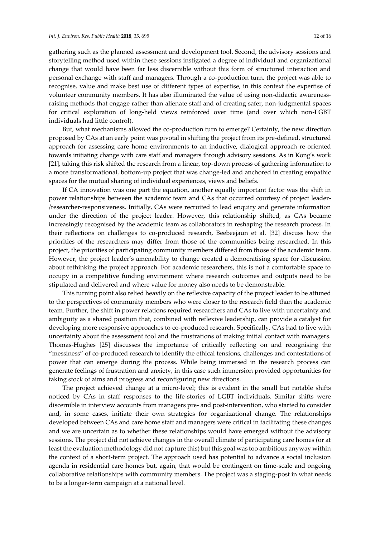gathering such as the planned assessment and development tool. Second, the advisory sessions and storytelling method used within these sessions instigated a degree of individual and organizational change that would have been far less discernible without this form of structured interaction and personal exchange with staff and managers. Through a co-production turn, the project was able to recognise, value and make best use of different types of expertise, in this context the expertise of volunteer community members. It has also illuminated the value of using non-didactic awarenessraising methods that engage rather than alienate staff and of creating safer, non-judgmental spaces for critical exploration of long-held views reinforced over time (and over which non-LGBT individuals had little control).

But, what mechanisms allowed the co-production turn to emerge? Certainly, the new direction proposed by CAs at an early point was pivotal in shifting the project from its pre-defined, structured approach for assessing care home environments to an inductive, dialogical approach re-oriented towards initiating change with care staff and managers through advisory sessions. As in Kong's work [21], taking this risk shifted the research from a linear, top-down process of gathering information to a more transformational, bottom-up project that was change-led and anchored in creating empathic spaces for the mutual sharing of individual experiences, views and beliefs.

If CA innovation was one part the equation, another equally important factor was the shift in power relationships between the academic team and CAs that occurred courtesy of project leader- /researcher-responsiveness. Initially, CAs were recruited to lead enquiry and generate information under the direction of the project leader. However, this relationship shifted, as CAs became increasingly recognised by the academic team as collaborators in reshaping the research process. In their reflections on challenges to co-produced research, Beebeejaun et al. [32] discuss how the priorities of the researchers may differ from those of the communities being researched. In this project, the priorities of participating community members differed from those of the academic team. However, the project leader's amenability to change created a democratising space for discussion about rethinking the project approach. For academic researchers, this is not a comfortable space to occupy in a competitive funding environment where research outcomes and outputs need to be stipulated and delivered and where value for money also needs to be demonstrable.

This turning point also relied heavily on the reflexive capacity of the project leader to be attuned to the perspectives of community members who were closer to the research field than the academic team. Further, the shift in power relations required researchers and CAs to live with uncertainty and ambiguity as a shared position that, combined with reflexive leadership, can provide a catalyst for developing more responsive approaches to co-produced research. Specifically, CAs had to live with uncertainty about the assessment tool and the frustrations of making initial contact with managers. Thomas-Hughes [25] discusses the importance of critically reflecting on and recognising the "messiness" of co-produced research to identify the ethical tensions, challenges and contestations of power that can emerge during the process. While being immersed in the research process can generate feelings of frustration and anxiety, in this case such immersion provided opportunities for taking stock of aims and progress and reconfiguring new directions.

The project achieved change at a micro-level; this is evident in the small but notable shifts noticed by CAs in staff responses to the life-stories of LGBT individuals. Similar shifts were discernible in interview accounts from managers pre- and post-intervention, who started to consider and, in some cases, initiate their own strategies for organizational change. The relationships developed between CAs and care home staff and managers were critical in facilitating these changes and we are uncertain as to whether these relationships would have emerged without the advisory sessions. The project did not achieve changes in the overall climate of participating care homes (or at least the evaluation methodology did not capture this) but this goal was too ambitious anyway within the context of a short-term project. The approach used has potential to advance a social inclusion agenda in residential care homes but, again, that would be contingent on time-scale and ongoing collaborative relationships with community members. The project was a staging-post in what needs to be a longer-term campaign at a national level.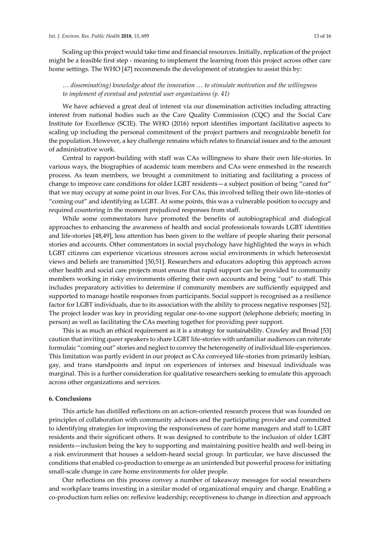Scaling up this project would take time and financial resources. Initially, replication of the project might be a feasible first step - meaning to implement the learning from this project across other care home settings. The WHO [47] recommends the development of strategies to assist this by:

# *… disseminat(ing) knowledge about the innovation … to stimulate motivation and the willingness to implement of eventual and potential user organizations (p. 41)*

We have achieved a great deal of interest via our dissemination activities including attracting interest from national bodies such as the Care Quality Commission (CQC) and the Social Care Institute for Excellence (SCIE). The WHO (2016) report identifies important facilitative aspects to scaling up including the personal commitment of the project partners and recognizable benefit for the population. However, a key challenge remains which relates to financial issues and to the amount of administrative work.

Central to rapport-building with staff was CAs willingness to share their own life-stories. In various ways, the biographies of academic team members and CAs were enmeshed in the research process. As team members, we brought a commitment to initiating and facilitating a process of change to improve care conditions for older LGBT residents—a subject position of being "cared for" that we may occupy at some point in our lives. For CAs, this involved telling their own life-stories of "coming out" and identifying as LGBT. At some points, this was a vulnerable position to occupy and required countering in the moment prejudiced responses from staff.

While some commentators have promoted the benefits of autobiographical and dialogical approaches to enhancing the awareness of health and social professionals towards LGBT identities and life-stories [48,49], less attention has been given to the welfare of people sharing their personal stories and accounts. Other commentators in social psychology have highlighted the ways in which LGBT citizens can experience vicarious stressors across social environments in which heterosexist views and beliefs are transmitted [50,51]. Researchers and educators adopting this approach across other health and social care projects must ensure that rapid support can be provided to community members working in risky environments offering their own accounts and being "out" to staff. This includes preparatory activities to determine if community members are sufficiently equipped and supported to manage hostile responses from participants. Social support is recognised as a resilience factor for LGBT individuals, due to its association with the ability to process negative responses [52]. The project leader was key in providing regular one-to-one support (telephone debriefs; meeting in person) as well as facilitating the CAs meeting together for providing peer support.

This is as much an ethical requirement as it is a strategy for sustainability. Crawley and Broad [53] caution that inviting queer speakers to share LGBT life-stories with unfamiliar audiences can reiterate formulaic "coming out" stories and neglect to convey the heterogeneity of individual life-experiences. This limitation was partly evident in our project as CAs conveyed life-stories from primarily lesbian, gay, and trans standpoints and input on experiences of intersex and bisexual individuals was marginal. This is a further consideration for qualitative researchers seeking to emulate this approach across other organizations and services.

## **6. Conclusions**

This article has distilled reflections on an action-oriented research process that was founded on principles of collaboration with community advisors and the participating provider and committed to identifying strategies for improving the responsiveness of care home managers and staff to LGBT residents and their significant others. It was designed to contribute to the inclusion of older LGBT residents—inclusion being the key to supporting and maintaining positive health and well-being in a risk environment that houses a seldom-heard social group. In particular, we have discussed the conditions that enabled co-production to emerge as an unintended but powerful process for initiating small-scale change in care home environments for older people.

Our reflections on this process convey a number of takeaway messages for social researchers and workplace teams investing in a similar model of organizational enquiry and change. Enabling a co-production turn relies on: reflexive leadership; receptiveness to change in direction and approach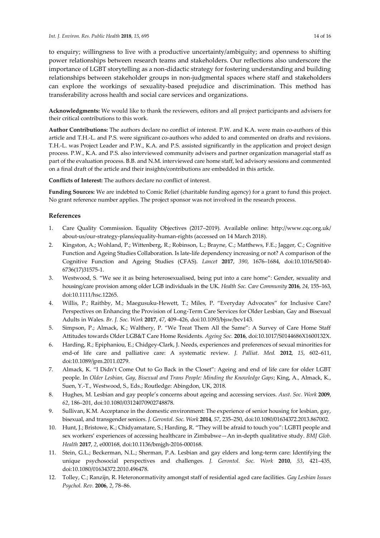to enquiry; willingness to live with a productive uncertainty/ambiguity; and openness to shifting power relationships between research teams and stakeholders. Our reflections also underscore the importance of LGBT storytelling as a non-didactic strategy for fostering understanding and building relationships between stakeholder groups in non-judgmental spaces where staff and stakeholders can explore the workings of sexuality-based prejudice and discrimination. This method has transferability across health and social care services and organizations.

**Acknowledgments:** We would like to thank the reviewers, editors and all project participants and advisers for their critical contributions to this work.

**Author Contributions:** The authors declare no conflict of interest. P.W. and K.A. were main co-authors of this article and T.H.-L. and P.S. were significant co-authors who added to and commented on drafts and revisions. T.H.-L. was Project Leader and P.W., K.A. and P.S. assisted significantly in the application and project design process. P.W., K.A. and P.S. also interviewed community advisers and partner organization managerial staff as part of the evaluation process. B.B. and N.M. interviewed care home staff, led advisory sessions and commented on a final draft of the article and their insights/contributions are embedded in this article.

**Conflicts of Interest:** The authors declare no conflict of interest.

**Funding Sources:** We are indebted to Comic Relief (charitable funding agency) for a grant to fund this project. No grant reference number applies. The project sponsor was not involved in the research process.

# **References**

- 1. Care Quality Commission. Equality Objectives (2017–2019). Available online: http://www.cqc.org.uk/ about-us/our-strategy-plans/equality-human-rights (accessed on 14 March 2018).
- 2. Kingston, A.; Wohland, P.; Wittenberg, R.; Robinson, L.; Brayne, C.; Matthews, F.E.; Jagger, C.; Cognitive Function and Ageing Studies Collaboration. Is late-life dependency increasing or not? A comparison of the Cognitive Function and Ageing Studies (CFAS). *Lancet* **2017**, *390*, 1676–1684, doi:10.1016/S0140- 6736(17)31575-1.
- 3. Westwood, S. "We see it as being heterosexualised, being put into a care home": Gender, sexuality and housing/care provision among older LGB individuals in the UK. *Health Soc. Care Community* **2016**, *24*, 155–163, doi:10.1111/hsc.12265.
- 4. Willis, P.; Raithby, M.; Maegusuku-Hewett, T.; Miles, P. "Everyday Advocates" for Inclusive Care? Perspectives on Enhancing the Provision of Long-Term Care Services for Older Lesbian, Gay and Bisexual Adults in Wales. *Br. J. Soc. Work* **2017**, *47*, 409–426, doi:10.1093/bjsw/bcv143.
- 5. Simpson, P.; Almack, K.; Walthery, P. "We Treat Them All the Same": A Survey of Care Home Staff Attitudes towards Older LGB&T Care Home Residents. *Ageing Soc.* **2016**, doi:10.1017/S0144686X1600132X.
- 6. Harding, R.; Epiphaniou, E.; Chidgey-Clark, J. Needs, experiences and preferences of sexual minorities for end-of life care and palliative care: A systematic review. *J. Palliat. Med.* **2012**, *15*, 602–611, doi:10.1089/jpm.2011.0279.
- 7. Almack, K. "I Didn't Come Out to Go Back in the Closet": Ageing and end of life care for older LGBT people. In *Older Lesbian, Gay, Bisexual and Trans People: Minding the Knowledge Gaps*; King, A., Almack, K., Suen, Y.-T., Westwood, S., Eds.; Routledge: Abingdon, UK, 2018.
- 8. Hughes, M. Lesbian and gay people's concerns about ageing and accessing services. *Aust. Soc. Work* **2009**, *62*, 186–201, doi:10.1080/03124070902748878.
- 9. Sullivan, K.M. Acceptance in the domestic environment: The experience of senior housing for lesbian, gay, bisexual, and transgender seniors. *J. Gerontol. Soc. Work* **2014**, *57*, 235–250, doi:10.1080/01634372.2013.867002.
- 10. Hunt, J.; Bristowe, K.; Chidyamatare, S.; Harding, R. "They will be afraid to touch you": LGBTI people and sex workers' experiences of accessing healthcare in Zimbabwe—An in-depth qualitative study. *BMJ Glob. Health* **2017**, *2*, e000168, doi:10.1136/bmjgh-2016-000168.
- 11. Stein, G.L.; Beckerman, N.L.; Sherman, P.A. Lesbian and gay elders and long-term care: Identifying the unique psychosocial perspectives and challenges. *J. Gerontol. Soc. Work* **2010**, *53*, 421–435, doi:10.1080/01634372.2010.496478.
- 12. Tolley, C.; Ranzijn, R. Heteronormativity amongst staff of residential aged care facilities. *Gay Lesbian Issues Psychol. Rev.* **2006**, *2*, 78–86.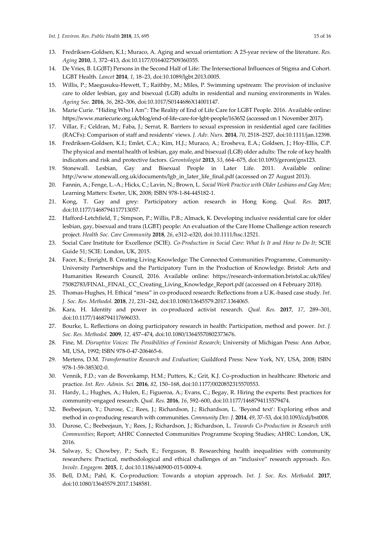- 13. Fredriksen-Goldsen, K.I.; Muraco, A. Aging and sexual orientation: A 25-year review of the literature. *Res. Aging* **2010**, *3*, 372–413, doi:10.1177/0164027509360355.
- 14. De Vries, B. LG(BT) Persons in the Second Half of Life: The Intersectional Influences of Stigma and Cohort. LGBT Health. *Lancet* **2014**, *1*, 18–23, doi:10.1089/lgbt.2013.0005.
- 15. Willis, P.; Maegusuku-Hewett, T.; Raithby, M.; Miles, P. Swimming upstream: The provision of inclusive care to older lesbian, gay and bisexual (LGB) adults in residential and nursing environments in Wales. *Ageing Soc.* **2016**, *36*, 282–306, doi:10.1017/S0144686X14001147.
- 16. Marie Curie. "Hiding Who I Am": The Reality of End of Life Care for LGBT People. 2016. Available online: https://www.mariecurie.org.uk/blog/end-of-life-care-for-lgbt-people/163652 (accessed on 1 November 2017).
- 17. Villar, F.; Celdran, M.; Faba, J.; Serrat, R. Barriers to sexual expression in residential aged care facilities (RACFs): Comparison of staff and residents' views. *J. Adv. Nurs.* **2014**, *70*, 2518–2527, doi:10.1111/jan.12398.
- 18. Fredriksen-Goldsen, K.I.; Emlet, C.A.; Kim, H.J.; Muraco, A.; Erosheva, E.A.; Goldsen, J.; Hoy-Ellis, C.P. The physical and mental health of lesbian, gay male, and bisexual (LGB) older adults: The role of key health indicators and risk and protective factors. *Gerontologist* **2013**, *53*, 664–675, doi:10.1093/geront/gns123.
- 19. Stonewall. Lesbian, Gay and Bisexual People in Later Life. 2011. Available online: http://www.stonewall.org.uk/documents/lgb\_in\_later\_life\_final.pdf (accessed on 27 August 2013).
- 20. Fannin, A.; Fenge, L.-A.; Hicks, C.; Lavin, N.; Brown, L. *Social Work Practice with Older Lesbians and Gay Men*; Learning Matters: Exeter, UK, 2008; ISBN 978-1-84-445182-1.
- 21. Kong, T. Gay and grey: Participatory action research in Hong Kong. *Qual. Res.* **2017**, doi:10.1177/1468794117713057.
- 22. Hafford-Letchfield, T.; Simpson, P.; Willis, P.B.; Almack, K. Developing inclusive residential care for older lesbian, gay, bisexual and trans (LGBT) people: An evaluation of the Care Home Challenge action research project. *Health Soc. Care Community* **2018**, *26*, e312–e320, doi:10.1111/hsc.12521.
- 23. Social Care Institute for Excellence (SCIE). *Co-Production in Social Care: What Is It and How to Do It*; SCIE Guide 51; SCIE: London, UK, 2015.
- 24. Facer, K.; Enright, B. Creating Living Knowledge: The Connected Communities Programme, Community-University Partnerships and the Participatory Turn in the Production of Knowledge. Bristol: Arts and Humanities Research Council, 2016. Available online: https://research-information.bristol.ac.uk/files/ 75082783/FINAL\_FINAL\_CC\_Creating\_Living\_Knowledge\_Report.pdf (accessed on 4 February 2018).
- 25. Thomas-Hughes, H. Ethical "mess" in co-produced research: Reflections from a U.K.-based case study*. Int. J. Soc. Res. Methodol.* **2018**, *21*, 231–242, doi:10.1080/13645579.2017.1364065.
- 26. Kara, H. Identity and power in co-produced activist research. *Qual. Res.* **2017**, *17*, 289–301, doi:10.1177/1468794117696033.
- 27. Bourke, L. Reflections on doing participatory research in health: Participation, method and power. *Int. J. Soc. Res. Methodol.* **2009**, *12*, 457–474, doi:10.1080/13645570802373676.
- 28. Fine, M. *Disruptive Voices: The Possibilities of Feminist Research*; University of Michigan Press: Ann Arbor, MI, USA, 1992; ISBN 978-0-47-206465-6.
- 29. Mertens, D.M. *Transformative Research and Evaluation*; Guildford Press: New York, NY, USA, 2008; ISBN 978-1-59-385302-0.
- 30. Vennik, F.D.; van de Bovenkamp, H.M.; Putters, K.; Grit, K.J. Co-production in healthcare: Rhetoric and practice. *Int. Rev. Admin. Sci.* **2016**, *82*, 150–168, doi:10.1177/0020852315570553.
- 31. Hardy, L.; Hughes, A.; Hulen, E.; Figueroa, A.; Evans, C.; Begay, R. Hiring the experts: Best practices for community-engaged research. *Qual. Res.* **2016**, *16*, 592–600, doi:10.1177/1468794115579474.
- 32. Beebeejaun, Y.; Durose, C.; Rees, J.; Richardson, J.; Richardson, L. 'Beyond text': Exploring ethos and method in co-producing research with communities. *Community Dev. J.* **2014**, *49*, 37–53, doi:10.1093/cdj/bst008.
- 33. Durose, C.; Beebeejaun, Y.; Rees, J.; Richardson, J.; Richardson, L. *Towards Co-Production in Research with Communities*; Report; AHRC Connected Communities Programme Scoping Studies; AHRC: London, UK, 2016.
- 34. Salway, S.; Chowbey, P.; Such, E.; Ferguson, B. Researching health inequalities with community researchers: Practical, methodological and ethical challenges of an "inclusive" research approach. *Res. Involv. Engagem.* **2015**, *1*, doi:10.1186/s40900-015-0009-4.
- 35. Bell, D.M.; Pahl, K. Co-production: Towards a utopian approach. *Int. J. Soc. Res. Methodol.* **2017**, doi:10.1080/13645579.2017.1348581.